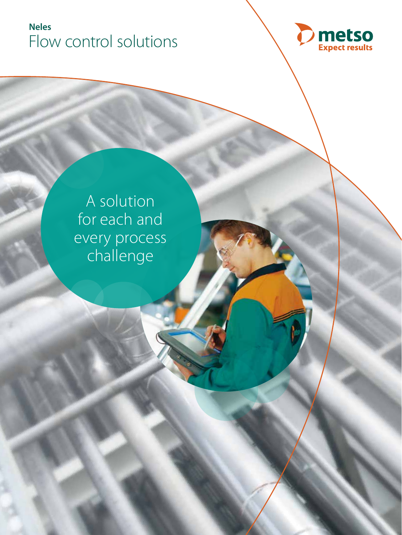



**1**

A solution for each and every process challenge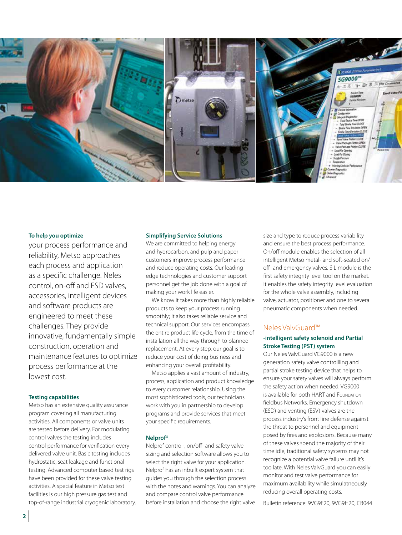

#### **To help you optimize**

your process performance and reliability, Metso approaches each process and application as a specific challenge. Neles control, on-off and ESD valves, accessories, intelligent devices and software products are engineered to meet these challenges. They provide innovative, fundamentally simple construction, operation and maintenance features to optimize process performance at the lowest cost.

#### **Testing capabilities**

Metso has an extensive quality assurance program covering all manufacturing activities. All components or valve units are tested before delivery. For modulating control valves the testing includes control performance for verification every delivered valve unit. Basic testing includes hydrostatic, seat leakage and functional testing. Advanced computer based test rigs have been provided for these valve testing activities. A special feature in Metso test facilities is our high pressure gas test and top-of-range industrial cryogenic laboratory.

#### **Simplifying Service Solutions**

We are committed to helping energy and hydrocarbon, and pulp and paper customers improve process performance and reduce operating costs. Our leading edge technologies and customer support personnel get the job done with a goal of making your work life easier.

We know it takes more than highly reliable products to keep your process running smoothly; it also takes reliable service and technical support. Our services encompass the entire product life cycle, from the time of installation all the way through to planned replacement. At every step, our goal is to reduce your cost of doing business and enhancing your overall profitability.

Metso applies a vast amount of industry, process, application and product knowledge to every customer relationship. Using the most sophisticated tools, our technicians work with you in partnership to develop programs and provide services that meet your specific requirements.

#### **Nelprof®**

Nelprof control-, on/off- and safety valve sizing and selection software allows you to select the right valve for your application. Nelprof has an inbuilt expert system that guides you through the selection process with the notes and warnings. You can analyze and compare control valve performance before installation and choose the right valve

size and type to reduce process variability and ensure the best process performance. On/off module enables the selection of all intelligent Metso metal- and soft-seated on/ off- and emergency valves. SIL module is the first safety integrity level tool on the market. It enables the safety integrity level evaluation for the whole valve assembly, including valve, actuator, positioner and one to several pneumatic components when needed.

#### Neles ValvGuard™

#### **-intelligent safety solenoid and Partial Stroke Testing (PST) system**

Our Neles ValvGuard VG9000 is a new generation safety valve controllling and partial stroke testing device that helps to ensure your safety valves will always perform the safety action when needed. VG9000 is available for both HART and Foundation fieldbus Networks. Emergency shutdown (ESD) and venting (ESV) valves are the process industry's front line defense against the threat to personnel and equipment posed by fires and explosions. Because many of these valves spend the majority of their time idle, traditional safety systems may not recognize a potential valve failure until it's too late. With Neles ValvGuard you can easily monitor and test valve performance for maximum availability while simulatneously reducing overall operating costs.

Bulletin reference: 9VG9F20, 9VG9H20, CB044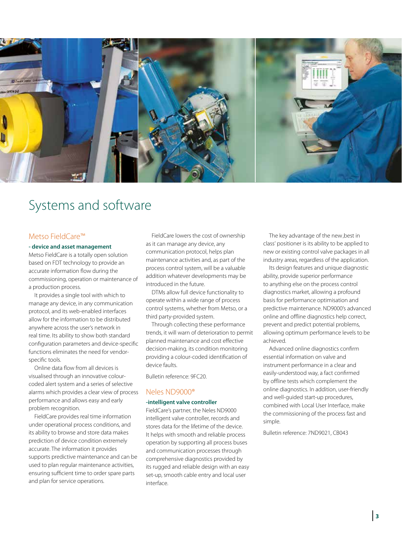

### Systems and software

#### Metso FieldCare™

#### **- device and asset management**

Metso FieldCare is a totally open solution based on FDT technology to provide an accurate information flow during the commissioning, operation or maintenance of a production process.

It provides a single tool with which to manage any device, in any communication protocol, and its web-enabled interfaces allow for the information to be distributed anywhere across the user's network in real time. Its ability to show both standard configuration parameters and device-specific functions eliminates the need for vendorspecific tools.

Online data flow from all devices is visualised through an innovative colourcoded alert system and a series of selective alarms which provides a clear view of process performance and allows easy and early problem recognition.

FieldCare provides real time information under operational process conditions, and its ability to browse and store data makes prediction of device condition extremely accurate. The information it provides supports predictive maintenance and can be used to plan regular maintenance activities, ensuring sufficient time to order spare parts and plan for service operations.

FieldCare lowers the cost of ownership as it can manage any device, any communication protocol, helps plan maintenance activities and, as part of the process control system, will be a valuable addition whatever developments may be introduced in the future.

DTMs allow full device functionality to operate within a wide range of process control systems, whether from Metso, or a third party-provided system.

Through collecting these performance trends, it will warn of deterioration to permit planned maintenance and cost effective decision-making, its condition monitoring providing a colour-coded identification of device faults.

Bulletin reference: 9FC20.

#### Neles ND9000®

#### **-intelligent valve controller**

FieldCare's partner, the Neles ND9000 intelligent valve controller, records and stores data for the lifetime of the device. It helps with smooth and reliable process operation by supporting all process buses and communication processes through comprehensive diagnostics provided by its rugged and reliable design with an easy set-up, smooth cable entry and local user interface.

The key advantage of the new, best in class' positioner is its ability to be applied to new or existing control valve packages in all industry areas, regardless of the application.

Its design features and unique diagnostic ability, provide superior performance to anything else on the process control diagnostics market, allowing a profound basis for performance optimisation and predictive maintenance. ND9000's advanced online and offline diagnostics help correct, prevent and predict potential problems, allowing optimum performance levels to be achieved.

Advanced online diagnostics confirm essential information on valve and instrument performance in a clear and easily-understood way, a fact confirmed by offline tests which complement the online diagnostics. In addition, user-friendly and well-guided start-up procedures, combined with Local User Interface, make the commissioning of the process fast and simple.

Bulletin reference: 7ND9021, CB043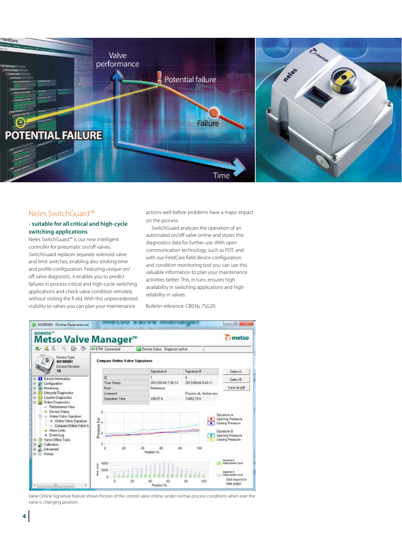

#### Neles SwitchGuard™

#### **- suitable for all critical and high-cycle switching applications**

Neles SwitchGuard™ is our new intelligent controller for pneumatic on/off valves. SwitchGuard replaces separate solenoid valve and limit switches, enabling also stroking time and profile configuration. Featuring unique on/ off valve diagnostic, it enables you to predict failures in process critical and high-cycle switching applications and check valve condition remotely without visiting the fi eld. With this unprecedented visibility to valves you can plan your maintenance

actions well before problems have a major impact on the process.

SwitchGuard analyzes the operation of an automated on/off valve online and stores this diagnostics data for further use. With open communication technology, such as FDT, and with our FieldCare field device configuration and condition monitoring tool you can use this valuable information to plan your maintenance activities better. This, in turn, ensures high availability in switching applications and high reliability in valves.

Bulletin reference: CB036, 7SG20.



Valve Online Signature feature shows friction of the control valve online, under normal process conditions when ever the valve is changing position.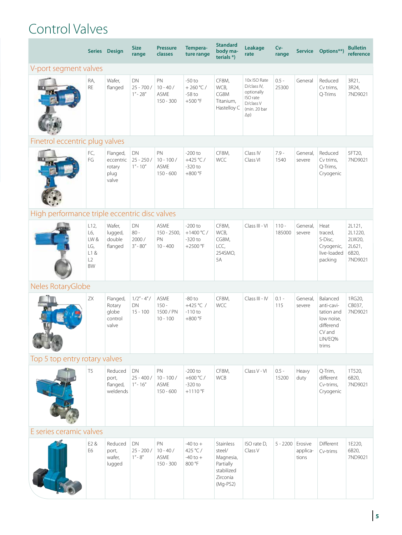### Control Valves

|                                               |                                                     | Series Design                                    | <b>Size</b><br>range                  | <b>Pressure</b><br>classes                              | Tempera-<br>ture range                              | <b>Standard</b><br>body ma-<br>terials*)                                              | Leakage<br>rate                                                                                    | $Cv -$<br>range   |                              | Service Options**)                                                                            | <b>Bulletin</b><br>reference                              |
|-----------------------------------------------|-----------------------------------------------------|--------------------------------------------------|---------------------------------------|---------------------------------------------------------|-----------------------------------------------------|---------------------------------------------------------------------------------------|----------------------------------------------------------------------------------------------------|-------------------|------------------------------|-----------------------------------------------------------------------------------------------|-----------------------------------------------------------|
| V-port segment valves                         |                                                     |                                                  |                                       |                                                         |                                                     |                                                                                       |                                                                                                    |                   |                              |                                                                                               |                                                           |
|                                               | RA,<br>RE                                           | Wafer,<br>flanged                                | DN<br>$25 - 700/$<br>$1'' - 28''$     | PN<br>$10 - 40/$<br><b>ASME</b><br>$150 - 300$          | $-50$ to<br>$+260 °C/$<br>$-58$ to<br>$+500$ °F     | CF8M,<br>WCB,<br>CG8M<br>Titanium,<br>Hastelloy C                                     | 10x ISO Rate<br>D/class IV,<br>optionally<br>ISO rate<br>D/class V<br>(min. 20 bar<br>$\Delta p$ ) | $0.5 -$<br>25300  | General                      | Reduced<br>Cv trims,<br>Q-Trims                                                               | 3R21,<br>3R24,<br>7ND9021                                 |
| Finetrol eccentric plug valves                |                                                     |                                                  |                                       |                                                         |                                                     |                                                                                       |                                                                                                    |                   |                              |                                                                                               |                                                           |
|                                               | FC,<br>FG                                           | Flanged,<br>eccentric<br>rotary<br>plug<br>valve | DN<br>$25 - 250/$<br>$1'' - 10''$     | ${\sf PN}$<br>$10 - 100/$<br><b>ASME</b><br>$150 - 600$ | $-200$ to<br>+425 °C /<br>$-320$ to<br>$+800$ °F    | CF8M,<br><b>WCC</b>                                                                   | Class IV<br>Class VI                                                                               | $7.9 -$<br>1540   | General,<br>severe           | Reduced<br>Cv trims,<br>Q-Trims,<br>Cryogenic                                                 | 5FT20,<br>7ND9021                                         |
| High performance triple eccentric disc valves |                                                     |                                                  |                                       |                                                         |                                                     |                                                                                       |                                                                                                    |                   |                              |                                                                                               |                                                           |
|                                               | L12,<br>L6,<br>LW&<br>LG,<br>L1&<br>L2<br><b>BW</b> | Wafer,<br>lugged,<br>double<br>flanged           | DN<br>$80 -$<br>2000/<br>$3'' - 80''$ | ASME<br>$150 - 2500$<br>PN<br>$10 - 400$                | $-200$ to<br>+1400 $°C/$<br>$-320$ to<br>$+2500$ °F | CF8M,<br>WCB,<br>CG8M,<br>LCC,<br>254SMO,<br>5A                                       | Class III - VI                                                                                     | $110 -$<br>185000 | General,<br>severe           | Heat<br>traced.<br>S-Disc,<br>Cryogenic,<br>live-loaded<br>packing                            | 2L121,<br>2L1220,<br>2LW20,<br>2L621,<br>6B20,<br>7ND9021 |
| Neles RotaryGlobe                             |                                                     |                                                  |                                       |                                                         |                                                     |                                                                                       |                                                                                                    |                   |                              |                                                                                               |                                                           |
|                                               | ZΧ                                                  | Flanged,<br>Rotary<br>globe<br>control<br>valve  | $1/2 - 4''/$<br>DN<br>$15 - 100$      | <b>ASME</b><br>$150 -$<br>1500 / PN<br>$10 - 100$       | $-80$ to<br>+425 °C /<br>$-110$ to<br>$+800 °F$     | CF8M,<br><b>WCC</b>                                                                   | Class III - IV                                                                                     | $0.1 -$<br>115    | General,<br>severe           | Balanced<br>anti-cavi-<br>tation and<br>low noise,<br>differend<br>CV and<br>LIN/EQ%<br>trims | 1RG20,<br>CB037,<br>7ND9021                               |
| Top 5 top entry rotary valves                 |                                                     |                                                  |                                       |                                                         |                                                     |                                                                                       |                                                                                                    |                   |                              |                                                                                               |                                                           |
|                                               | T <sub>5</sub>                                      | Reduced<br>port,<br>flanged,<br>weldends         | DN<br>$25 - 400/$<br>$1'' - 16''$     | PN<br>$10 - 100/$<br><b>ASME</b><br>$150 - 600$         | $-200$ to<br>+600 °C /<br>$-320$ to<br>$+1110$ °F   | CF8M,<br><b>WCB</b>                                                                   | Class V - VI                                                                                       | $0.5 -$<br>15200  | Heavy<br>duty                | Q-Trim,<br>different<br>Cv-trims,<br>Cryogenic                                                | 1T520,<br>6B20,<br>7ND9021                                |
| E series ceramic valves                       |                                                     |                                                  |                                       |                                                         |                                                     |                                                                                       |                                                                                                    |                   |                              |                                                                                               |                                                           |
|                                               | E2&<br>E <sub>6</sub>                               | Reduced<br>port,<br>wafer,<br>lugged             | DN<br>$25 - 200/$<br>$1'' - 8''$      | PN<br>$10 - 40/$<br><b>ASME</b><br>$150 - 300$          | $-40$ to $+$<br>425 °C /<br>$-40$ to $+$<br>800 °F  | Stainless<br>steel/<br>Magnesia,<br>Partially<br>stabilized<br>Zirconia<br>$(Mg-PS2)$ | ISO rate D,<br>Class V                                                                             | $5 - 2200$        | Erosive<br>applica-<br>tions | Different<br>Cv-trims                                                                         | 1E220,<br>6B20,<br>7ND9021                                |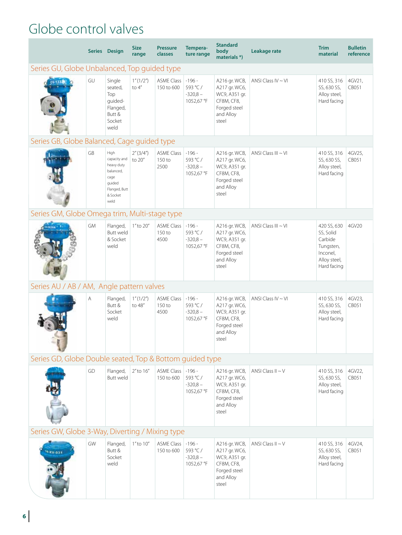### Globe control valves

|                                                          |           | Series Design                                                                                          | <b>Size</b><br>range   | <b>Pressure</b><br>classes          | Tempera-<br>ture range                         | <b>Standard</b><br>body<br>materials $*$ )                                                          | Leakage rate           | <b>Trim</b><br>material                                                                     | <b>Bulletin</b><br>reference |
|----------------------------------------------------------|-----------|--------------------------------------------------------------------------------------------------------|------------------------|-------------------------------------|------------------------------------------------|-----------------------------------------------------------------------------------------------------|------------------------|---------------------------------------------------------------------------------------------|------------------------------|
| Series GU, Globe Unbalanced, Top guided type             |           |                                                                                                        |                        |                                     |                                                |                                                                                                     |                        |                                                                                             |                              |
|                                                          | GU        | Single<br>seated,<br>Top<br>quided-<br>Flanged,<br>Butt &<br>Socket<br>weld                            | 1''(1/2'')<br>to $4''$ | <b>ASME Class</b><br>150 to 600     | $-196-$<br>593 °C /<br>$-320,8-$<br>1052,67 °F | A216 gr. WCB,<br>A217 gr. WC6,<br>WC9, A351 gr.<br>CF8M, CF8,<br>Forged steel<br>and Alloy<br>steel | ANSI Class $IV - VI$   | 410 SS, 316<br>SS, 630 SS,<br>Alloy steel,<br>Hard facing                                   | 4GV21,<br>CB051              |
| Series GB, Globe Balanced, Cage guided type              |           |                                                                                                        |                        |                                     |                                                |                                                                                                     |                        |                                                                                             |                              |
|                                                          | GB        | High<br>capacity and<br>heavy duty<br>balanced,<br>cage<br>quided<br>Flanged, Butt<br>& Socket<br>weld | 2''(3/4'')<br>to 20"   | <b>ASME Class</b><br>150 to<br>2500 | $-196-$<br>593 °C /<br>$-320,8-$<br>1052,67 °F | A216 gr. WCB,<br>A217 gr. WC6,<br>WC9, A351 gr.<br>CF8M, CF8,<br>Forged steel<br>and Alloy<br>steel | ANSI Class III ~ VI    | 410 SS, 316<br>SS, 630 SS,<br>Alloy steel,<br>Hard facing                                   | 4GV25,<br>CB051              |
| Series GM, Globe Omega trim, Multi-stage type            |           |                                                                                                        |                        |                                     |                                                |                                                                                                     |                        |                                                                                             |                              |
|                                                          | <b>GM</b> | Flanged,<br><b>Butt weld</b><br>& Socket<br>weld                                                       | 1" to 20"              | ASME Class<br>150 to<br>4500        | $-196-$<br>593 °C /<br>$-320,8-$<br>1052,67 °F | A216 gr. WCB,<br>A217 gr. WC6,<br>WC9, A351 gr.<br>CF8M, CF8,<br>Forged steel<br>and Alloy<br>steel | ANSI Class III ~ VI    | 420 SS, 630<br>SS, Solid<br>Carbide<br>Tungsten,<br>Inconel,<br>Alloy steel,<br>Hard facing | 4GV20                        |
| Series AU / AB / AM, Angle pattern valves                |           |                                                                                                        |                        |                                     |                                                |                                                                                                     |                        |                                                                                             |                              |
|                                                          | A         | Flanged,<br>Butt &<br>Socket<br>weld                                                                   | 1''(1/2'')<br>to 48"   | <b>ASME Class</b><br>150 to<br>4500 | $-196-$<br>593 °C /<br>$-320,8-$<br>1052,67 °F | A216 gr. WCB,<br>A217 gr. WC6,<br>WC9, A351 gr.<br>CF8M, CF8,<br>Forged steel<br>and Alloy<br>steel | ANSI Class $IV - VI$   | 410 SS, 316<br>SS, 630 SS,<br>Alloy steel,<br>Hard facing                                   | 4GV23,<br>CB051              |
| Series GD, Globe Double seated, Top & Bottom quided type |           |                                                                                                        |                        |                                     |                                                |                                                                                                     |                        |                                                                                             |                              |
|                                                          | GD        | Flanged,<br>Butt weld                                                                                  | $2''$ to $16''$        | ASME Class   -196 -<br>150 to 600   | 593 °C/<br>$-320,8-$<br>1052,67 °F             | A216 gr. WCB,<br>A217 gr. WC6,<br>WC9, A351 gr.<br>CF8M, CF8,<br>Forged steel<br>and Alloy<br>steel | ANSI Class II $\sim$ V | 410 SS, 316<br>SS, 630 SS,<br>Alloy steel,<br>Hard facing                                   | 4GV22,<br>CB051              |
| Series GW, Globe 3-Way, Diverting / Mixing type          |           |                                                                                                        |                        |                                     |                                                |                                                                                                     |                        |                                                                                             |                              |
| 1.00-VX-0                                                | GW        | Flanged,<br>Butt &<br>Socket<br>weld                                                                   | $1"$ to $10"$          | ASME Class -196 -<br>150 to 600     | 593 °C/<br>$-320,8-$<br>1052,67 °F             | A216 gr. WCB,<br>A217 gr. WC6,<br>WC9, A351 gr.<br>CF8M, CF8,<br>Forged steel<br>and Alloy<br>steel | ANSI Class II $\sim$ V | 410 SS, 316<br>SS, 630 SS,<br>Alloy steel,<br>Hard facing                                   | 4GV24,<br>CB051              |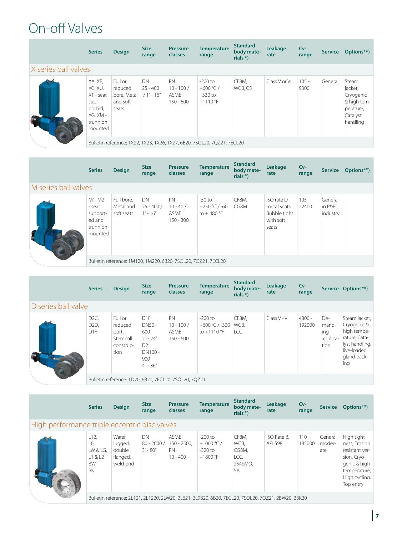## On-off Valves

|                      | <b>Series</b>                                                                         | <b>Design</b>                                          | <b>Size</b><br>range             | <b>Pressure</b><br><b>classes</b>        | <b>Temperature</b><br>range                                             | <b>Standard</b><br>body mate-<br>rials $*)$ | Leakage<br>rate | $Cv-$<br>range  | <b>Service</b> | Options**)                                                                        |
|----------------------|---------------------------------------------------------------------------------------|--------------------------------------------------------|----------------------------------|------------------------------------------|-------------------------------------------------------------------------|---------------------------------------------|-----------------|-----------------|----------------|-----------------------------------------------------------------------------------|
| X series ball valves |                                                                                       |                                                        |                                  |                                          |                                                                         |                                             |                 |                 |                |                                                                                   |
|                      | XA, XB,<br>XC, XU,<br>XT - seat<br>sup-<br>ported,<br>XG, XM -<br>trunnion<br>mounted | Full or<br>reduced<br>bore. Metal<br>and soft<br>seats | DN.<br>$25 - 400$<br>$/1" - 16"$ | PN<br>$10 - 100/$<br>ASMF<br>$150 - 600$ | $-200$ to<br>+600 °C /<br>$-330$ to<br>$+1110$ °F                       | CF8M,<br>WCB, C5                            | Class V or VI   | $105 -$<br>9300 | General        | Steam<br>jacket,<br>Cryogenic<br>& high tem-<br>perature,<br>Catalyst<br>handling |
|                      |                                                                                       |                                                        |                                  |                                          | Bulletin reference: 1X22, 1X23, 1X26, 1X27, 6B20, 7SOL20, 7QZ21, 7ECL20 |                                             |                 |                 |                |                                                                                   |

|                      | <b>Series</b>                                                 | <b>Design</b>                         | <b>Size</b><br>range            | <b>Pressure</b><br>classes                                    | <b>Temperature</b><br>range               | <b>Standard</b><br>body mate-<br>rials $*)$ | Leakage<br>rate                                                  | $Cv-$<br>range   | <b>Service</b>                | Options**) |
|----------------------|---------------------------------------------------------------|---------------------------------------|---------------------------------|---------------------------------------------------------------|-------------------------------------------|---------------------------------------------|------------------------------------------------------------------|------------------|-------------------------------|------------|
| M series ball valves |                                                               |                                       |                                 |                                                               |                                           |                                             |                                                                  |                  |                               |            |
|                      | M1, M2<br>- seat<br>support-<br>ed and<br>trunnion<br>mounted | Full bore,<br>Metal and<br>soft seats | DN<br>$25 - 400/$<br>$1" - 16"$ | <b>PN</b><br>$10 - 40/$<br><b>ASME</b><br>$150 - 300$         | $-50$ to<br>+250 °C / -60<br>to $+480$ °F | CF8M,<br>CG8M                               | ISO rate D<br>metal seats,<br>Bubble tight<br>with soft<br>seats | $105 -$<br>22400 | General<br>in P&P<br>industry |            |
|                      |                                                               |                                       |                                 | Bulletin reference: 1M120, 1M220, 6B20, 7SOL20, 7QZ21, 7ECL20 |                                           |                                             |                                                                  |                  |                               |            |

|                     | <b>Series</b>                                                        | <b>Design</b>                                                | <b>Size</b><br>range                                                                    | <b>Pressure</b><br>classes                            | <b>Temperature</b><br>range                  | <b>Standard</b><br>body mate-<br>rials $*)$ | Leakage<br>rate | $Cv-$<br>range     |                                         | Service Options**)                                                                                                  |
|---------------------|----------------------------------------------------------------------|--------------------------------------------------------------|-----------------------------------------------------------------------------------------|-------------------------------------------------------|----------------------------------------------|---------------------------------------------|-----------------|--------------------|-----------------------------------------|---------------------------------------------------------------------------------------------------------------------|
| D series ball valve |                                                                      |                                                              |                                                                                         |                                                       |                                              |                                             |                 |                    |                                         |                                                                                                                     |
|                     | D <sub>2</sub> C<br>D <sub>2</sub> D <sub></sub><br>D <sub>1</sub> F | Full or<br>reduced<br>port,<br>Stemball<br>construc-<br>tion | D <sub>1F:</sub><br>DN50-<br>600<br>$2" - 24"$<br>D2:<br>$DN100 -$<br>900<br>$4" - 36"$ | PN<br>$10 - 100/$<br><b>ASME</b><br>$150 - 600$       | $-200$ to<br>+600 °C / -320<br>to $+1110$ °F | CF8M,<br>WCB.<br>LCC                        | Class V - VI    | $4800 -$<br>192000 | De-<br>mand-<br>ing<br>applica-<br>tion | Steam jacket,<br>Cryogenic &<br>high tempe-<br>rature, Cata-<br>lyst handling,<br>live-loaded<br>gland pack-<br>ing |
|                     |                                                                      |                                                              |                                                                                         | Bulletin reference: 1D20, 6B20, 7ECL20, 7SOL20, 7QZ21 |                                              |                                             |                 |                    |                                         |                                                                                                                     |

|                                               | <b>Series</b>                                        | <b>Design</b>                                       | <b>Size</b><br>range                       | <b>Pressure</b><br>classes                       | <b>Temperature</b><br>range                                                                        | <b>Standard</b><br>body mate-<br>rials $*)$     | Leakage<br>rate        | $Cv-$<br>range    | <b>Service</b>            | Options**)                                                                                                                  |
|-----------------------------------------------|------------------------------------------------------|-----------------------------------------------------|--------------------------------------------|--------------------------------------------------|----------------------------------------------------------------------------------------------------|-------------------------------------------------|------------------------|-------------------|---------------------------|-----------------------------------------------------------------------------------------------------------------------------|
| High performance triple eccentric disc valves |                                                      |                                                     |                                            |                                                  |                                                                                                    |                                                 |                        |                   |                           |                                                                                                                             |
|                                               | L12<br>L6<br>LW & LG.<br>L1 & L2<br>BW.<br><b>BK</b> | Wafer.<br>lugged,<br>double<br>flanged,<br>weld-end | <b>DN</b><br>$80 - 2000 /$<br>$3'' - 80''$ | <b>ASMF</b><br>$150 - 2500.$<br>PN<br>$10 - 400$ | $-200$ to<br>+1000 °C /<br>$-320$ to<br>$+1800$ °F                                                 | CF8M,<br>WCB,<br>CG8M,<br>LCC,<br>254SMO,<br>5Α | ISO Rate B.<br>API 598 | $110 -$<br>185000 | General,<br>moder-<br>ate | High tight-<br>ness, Erosion<br>resistant ver-<br>sion, Cryo-<br>genic & high<br>temperature,<br>High cycling,<br>Top entry |
|                                               |                                                      |                                                     |                                            |                                                  | Bulletin reference: 2L121, 2L1220, 2LW20, 2L621, 2L9B20, 6B20, 7ECL20, 7SOL20, 7QZ21, 2BW20, 2BK20 |                                                 |                        |                   |                           |                                                                                                                             |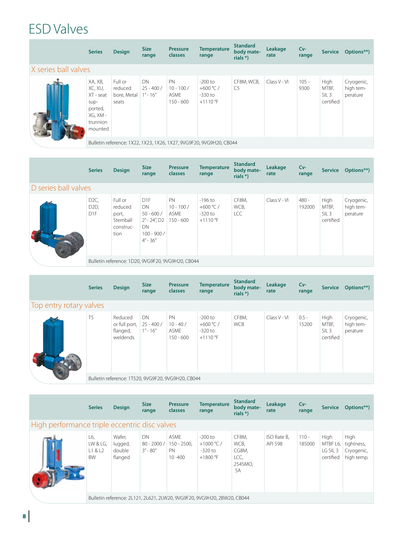### ESD Valves

|                      | <b>Series</b>                                                                         | <b>Design</b>                              | <b>Size</b><br>range              | <b>Pressure</b><br><b>classes</b>      | <b>Temperature</b><br>range                                         | <b>Standard</b><br>body mate-<br>rials $*)$ | Leakage<br>rate | $Cv-$<br>range  | <b>Service</b>                                 | Options**)                          |
|----------------------|---------------------------------------------------------------------------------------|--------------------------------------------|-----------------------------------|----------------------------------------|---------------------------------------------------------------------|---------------------------------------------|-----------------|-----------------|------------------------------------------------|-------------------------------------|
| X series ball valves |                                                                                       |                                            |                                   |                                        |                                                                     |                                             |                 |                 |                                                |                                     |
|                      | XA, XB,<br>XC, XU,<br>XT - seat<br>sup-<br>ported,<br>XG, XM -<br>trunnion<br>mounted | Full or<br>reduced<br>bore. Metal<br>seats | DN<br>$25 - 400/$<br>$1'' - 16''$ | PN<br>$10 - 100/$<br>ASME<br>150 - 600 | $-200$ to<br>+600 °C /<br>$-330$ to<br>$+1110$ °F                   | CF8M. WCB.<br>C <sub>5</sub>                | Class V - VI    | $105 -$<br>9300 | High<br>MTBF,<br>SIL <sub>3</sub><br>certified | Cryogenic,<br>high tem-<br>perature |
|                      |                                                                                       |                                            |                                   |                                        | Bulletin reference: 1X22, 1X23, 1X26, 1X27, 9VG9F20, 9VG9H20, CB044 |                                             |                 |                 |                                                |                                     |

|                      | <b>Series</b>                                            | <b>Design</b>                                                | <b>Size</b><br>range                                                                                           | <b>Pressure</b><br>classes                        | <b>Temperature</b><br>range                       | <b>Standard</b><br>body mate-<br>rials $*)$ | Leakage<br>rate | $Cv-$<br>range    | <b>Service</b>                                 | Options**)                          |
|----------------------|----------------------------------------------------------|--------------------------------------------------------------|----------------------------------------------------------------------------------------------------------------|---------------------------------------------------|---------------------------------------------------|---------------------------------------------|-----------------|-------------------|------------------------------------------------|-------------------------------------|
| D series ball valves |                                                          |                                                              |                                                                                                                |                                                   |                                                   |                                             |                 |                   |                                                |                                     |
|                      | D2C<br>D <sub>2</sub> D <sub>,</sub><br>D <sub>1</sub> F | Full or<br>reduced<br>port,<br>Stemball<br>construc-<br>tion | D <sub>1</sub> F<br>DN.<br>$50 - 600/$<br>$2'' - 24''$ , D <sub>2</sub><br>DN.<br>$100 - 900/$<br>$4'' - 36''$ | PN<br>$10 - 100/$<br><b>ASME</b><br>$150 - 600$   | $-196$ to<br>+600 °C /<br>$-320$ to<br>$+1110$ °F | CF8M,<br>WCB,<br><b>LCC</b>                 | Class V - VI    | $480 -$<br>192000 | High<br>MTBF,<br>SIL <sub>3</sub><br>certified | Cryogenic,<br>high tem-<br>perature |
|                      |                                                          |                                                              |                                                                                                                | Bulletin reference: 1D20, 9VG9F20, 9VG9H20, CB044 |                                                   |                                             |                 |                   |                                                |                                     |

|                         | <b>Series</b>  | <b>Design</b>                                    | <b>Size</b><br>range            | <b>Pressure</b><br>classes                         | <b>Temperature</b><br>range                       | <b>Standard</b><br>body mate-<br>rials $*)$ | Leakage<br>rate | $Cv-$<br>range   | <b>Service</b>                                 | Options**)                          |
|-------------------------|----------------|--------------------------------------------------|---------------------------------|----------------------------------------------------|---------------------------------------------------|---------------------------------------------|-----------------|------------------|------------------------------------------------|-------------------------------------|
| Top entry rotary valves |                |                                                  |                                 |                                                    |                                                   |                                             |                 |                  |                                                |                                     |
|                         | T <sub>5</sub> | Reduced<br>or full port,<br>flanged,<br>weldends | DN<br>$25 - 400/$<br>$1" - 16"$ | PN<br>$10 - 40/$<br>ASMF<br>$150 - 600$            | $-200$ to<br>+600 °C /<br>$-320$ to<br>$+1110$ °F | CF8M,<br><b>WCB</b>                         | Class V - VI    | $0.5 -$<br>15200 | High<br>MTBF,<br>SIL <sub>3</sub><br>certified | Cryogenic,<br>high tem-<br>perature |
|                         |                |                                                  |                                 | Bulletin reference: 1T520, 9VG9F20, 9VG9H20, CB044 |                                                   |                                             |                 |                  |                                                |                                     |

|                                               | <b>Series</b>                           | <b>Design</b>                          | <b>Size</b><br>range                       | <b>Pressure</b><br>classes                       | <b>Temperature</b><br>range                                             | <b>Standard</b><br>body mate-<br>rials $*)$     | Leakage<br>rate        | $Cv-$<br>range    | <b>Service</b>                            | Options**)                                     |
|-----------------------------------------------|-----------------------------------------|----------------------------------------|--------------------------------------------|--------------------------------------------------|-------------------------------------------------------------------------|-------------------------------------------------|------------------------|-------------------|-------------------------------------------|------------------------------------------------|
| High performance triple eccentric disc valves |                                         |                                        |                                            |                                                  |                                                                         |                                                 |                        |                   |                                           |                                                |
|                                               | L6.<br>LW & LG,<br>L1 & L2<br><b>BW</b> | Wafer.<br>lugged,<br>double<br>flanged | <b>DN</b><br>$80 - 2000 /$<br>$3'' - 80''$ | <b>ASMF</b><br>$150 - 2500.$<br>PN<br>$10 - 400$ | $-200$ to<br>+1000 °C /<br>$-320$ to<br>$+1800$ °F                      | CF8M,<br>WCB,<br>CG8M,<br>LCC,<br>254SMO,<br>5A | ISO Rate B,<br>API 598 | $110 -$<br>185000 | High<br>MTBF L6,<br>LG SIL 3<br>certified | High<br>tightness,<br>Cryogenic,<br>high temp. |
|                                               |                                         |                                        |                                            |                                                  | Bulletin reference: 2L121, 2L621, 2LW20, 9VG9F20, 9VG9H20, 2BW20, CB044 |                                                 |                        |                   |                                           |                                                |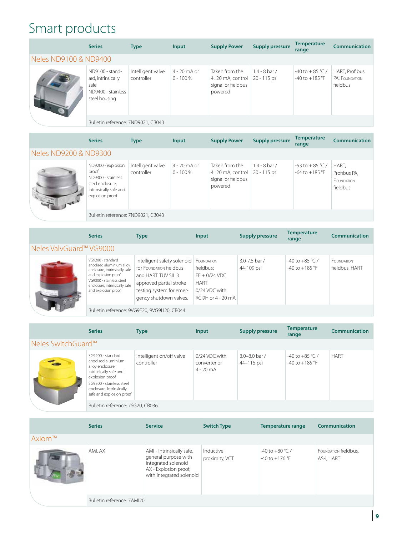# Smart products

|                       | <b>Series</b>                                                                        | <b>Type</b>                     | Input                       | <b>Supply Power</b>                                                | <b>Supply pressure</b>        | <b>Temperature</b><br>range            | <b>Communication</b>                         |
|-----------------------|--------------------------------------------------------------------------------------|---------------------------------|-----------------------------|--------------------------------------------------------------------|-------------------------------|----------------------------------------|----------------------------------------------|
| Neles ND9100 & ND9400 |                                                                                      |                                 |                             |                                                                    |                               |                                        |                                              |
|                       | ND9100 - stand-<br>ard, intrinsically<br>safe<br>ND9400 - stainless<br>steel housing | Intelligent valve<br>controller | 4 - 20 mA or<br>$0 - 100\%$ | Taken from the<br>420 mA, control<br>signal or fieldbus<br>powered | 1.4 - 8 bar /<br>20 - 115 psi | -40 to + 85 °C /<br>$-40$ to $+185$ °F | HART, Profibus<br>PA, FOUNDATION<br>fieldbus |
|                       | Bulletin reference: 7ND9021, CB043                                                   |                                 |                             |                                                                    |                               |                                        |                                              |

|                       | <b>Series</b>                                                                                                      | <b>Type</b>                     | Input                       | <b>Supply Power</b>                                                | <b>Supply pressure</b>        | <b>Temperature</b><br>range              | Communication                                   |
|-----------------------|--------------------------------------------------------------------------------------------------------------------|---------------------------------|-----------------------------|--------------------------------------------------------------------|-------------------------------|------------------------------------------|-------------------------------------------------|
| Neles ND9200 & ND9300 |                                                                                                                    |                                 |                             |                                                                    |                               |                                          |                                                 |
|                       | ND9200 - explosion<br>proof<br>ND9300 - stainless<br>steel enclosure,<br>intrinsically safe and<br>explosion proof | Intelligent valve<br>controller | 4 - 20 mA or<br>$0 - 100\%$ | Taken from the<br>420 mA, control<br>signal or fieldbus<br>powered | 1.4 - 8 bar /<br>20 - 115 psi | $-53$ to $+85$ °C/<br>$-64$ to $+185$ °F | HART.<br>Profibus PA.<br>FOUNDATION<br>fieldbus |
|                       | Bulletin reference: 7ND9021, CB043                                                                                 |                                 |                             |                                                                    |                               |                                          |                                                 |

|                         | <b>Series</b>                                                                                                                                                                             | <b>Type</b>                                                                                                                                                    | Input                                                                                      | <b>Supply pressure</b>      | <b>Temperature</b><br>range               | Communication                |
|-------------------------|-------------------------------------------------------------------------------------------------------------------------------------------------------------------------------------------|----------------------------------------------------------------------------------------------------------------------------------------------------------------|--------------------------------------------------------------------------------------------|-----------------------------|-------------------------------------------|------------------------------|
| Neles ValvGuard™ VG9000 |                                                                                                                                                                                           |                                                                                                                                                                |                                                                                            |                             |                                           |                              |
|                         | VG9200 - standard<br>anodised aluminium alloy<br>enclosure, intrinsically safe<br>and explosion proof<br>VG9300 - stainless steel<br>enclosure, intrinsically safe<br>and explosion proof | Intelligent safety solenoid<br>for FOUNDATION fieldbus<br>and HART. TÜV SIL 3<br>approved partial stroke<br>testing system for emer-<br>gency shutdown valves. | FOUNDATION<br>fieldbus:<br>$FF + 0/24$ VDC<br>HART:<br>0/24 VDC with<br>RCI9H or 4 - 20 mA | 3.0-7.5 bar /<br>44-109 psi | $-40$ to $+85$ °C /<br>$-40$ to $+185$ °F | FOUNDATION<br>fieldbus, HART |
|                         |                                                                                                                                                                                           | Bulletin reference: 9VG9F20, 9VG9H20, CB044                                                                                                                    |                                                                                            |                             |                                           |                              |

|                    | <b>Series</b>                                                                                                                                                                                | <b>Type</b>                            | Input                                        | <b>Supply pressure</b>      | <b>Temperature</b><br>range           | Communication |
|--------------------|----------------------------------------------------------------------------------------------------------------------------------------------------------------------------------------------|----------------------------------------|----------------------------------------------|-----------------------------|---------------------------------------|---------------|
| Neles SwitchGuard™ |                                                                                                                                                                                              |                                        |                                              |                             |                                       |               |
|                    | SG9200 - standard<br>anodised aluminium<br>alloy enclosure,<br>intrinsically safe and<br>explosion proof<br>SG9300 - stainless steel<br>enclosure, intrinsically<br>safe and explosion proof | Intelligent on/off valve<br>controller | 0/24 VDC with<br>converter or<br>$4 - 20$ mA | 3.0-8.0 bar /<br>44-115 psi | -40 to +85 °C /<br>$-40$ to $+185$ °F | <b>HART</b>   |
|                    | Bulletin reference: 7SG20, CB036                                                                                                                                                             |                                        |                                              |                             |                                       |               |

|        | <b>Series</b>              | <b>Service</b>                                                                                                                | <b>Switch Type</b>          | <b>Temperature range</b>                        | <b>Communication</b>               |
|--------|----------------------------|-------------------------------------------------------------------------------------------------------------------------------|-----------------------------|-------------------------------------------------|------------------------------------|
| Axiom™ |                            |                                                                                                                               |                             |                                                 |                                    |
|        | AMI, AX                    | AMI - Intrinsically safe,<br>general purpose with<br>integrated solenoid<br>AX - Explosion proof,<br>with integrated solenoid | Inductive<br>proximity, VCT | -40 to +80 $^{\circ}$ C /<br>$-40$ to $+176$ °F | FOUNDATION fieldbus,<br>AS-i, HART |
|        | Bulletin reference: 7AMI20 |                                                                                                                               |                             |                                                 |                                    |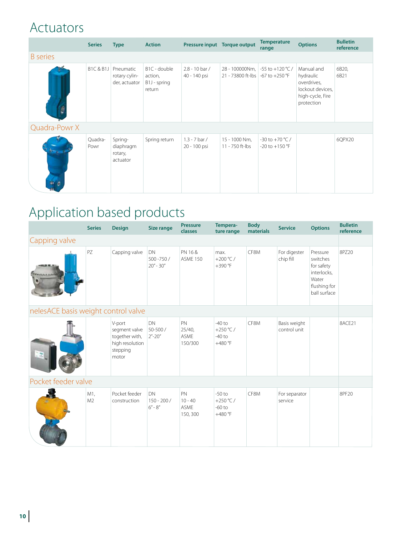### Actuators

|                 | <b>Series</b>   | <b>Type</b>                                 | <b>Action</b>                                     | Pressure input Torque output     |                                                                       | <b>Temperature</b><br>range            | <b>Options</b>                                                                               | <b>Bulletin</b><br>reference |
|-----------------|-----------------|---------------------------------------------|---------------------------------------------------|----------------------------------|-----------------------------------------------------------------------|----------------------------------------|----------------------------------------------------------------------------------------------|------------------------------|
| <b>B</b> series |                 |                                             |                                                   |                                  |                                                                       |                                        |                                                                                              |                              |
|                 | B1C & B1J       | Pneumatic<br>rotary cylin-<br>der, actuator | B1C - double<br>action,<br>B1J - spring<br>return | $2.8 - 10$ bar /<br>40 - 140 psi | 28 - 100000Nm, -55 to +120 °C /<br>21 - 73800 ft-lbs   -67 to +250 °F |                                        | Manual and<br>hydraulic<br>overdrives,<br>lockout devices,<br>high-cycle, Fire<br>protection | 6B20,<br>6B21                |
| Quadra-Powr X   |                 |                                             |                                                   |                                  |                                                                       |                                        |                                                                                              |                              |
|                 | Quadra-<br>Powr | Spring-<br>diaphragm<br>rotary,<br>actuator | Spring return                                     | $1.3 - 7$ bar /<br>20 - 100 psi  | 15 - 1000 Nm,<br>11 - 750 ft-lbs                                      | -30 to +70 $°C/$<br>$-20$ to $+150$ °F |                                                                                              | 6QPX20                       |

## Application based products

|                                     | <b>Series</b>         | <b>Design</b>                                                                     | Size range                        | <b>Pressure</b><br>classes                 | Tempera-<br>ture range                          | <b>Body</b><br>materials | <b>Service</b>               | <b>Options</b>                                                                             | <b>Bulletin</b><br>reference |
|-------------------------------------|-----------------------|-----------------------------------------------------------------------------------|-----------------------------------|--------------------------------------------|-------------------------------------------------|--------------------------|------------------------------|--------------------------------------------------------------------------------------------|------------------------------|
| Capping valve                       |                       |                                                                                   |                                   |                                            |                                                 |                          |                              |                                                                                            |                              |
|                                     | PZ                    | Capping valve                                                                     | DN<br>500-750/<br>$20'' - 30''$   | PN 16 &<br><b>ASME 150</b>                 | max.<br>+200 °C /<br>$+390$ °F                  | CF8M                     | For digester<br>chip fill    | Pressure<br>switches<br>for safety<br>interlocks,<br>Water<br>flushing for<br>ball surface | 8PZ20                        |
| nelesACE basis weight control valve |                       |                                                                                   |                                   |                                            |                                                 |                          |                              |                                                                                            |                              |
|                                     |                       | V-port<br>segment valve<br>together with,<br>high resolution<br>stepping<br>motor | DN<br>$50 - 500/$<br>$2" - 20"$   | PN<br>$25/40$ ,<br><b>ASME</b><br>150/300  | $-40$ to<br>+250 °C /<br>$-40$ to<br>$+480$ °F  | CF8M                     | Basis weight<br>control unit |                                                                                            | 8ACE21                       |
| Pocket feeder valve                 |                       |                                                                                   |                                   |                                            |                                                 |                          |                              |                                                                                            |                              |
|                                     | M1,<br>M <sub>2</sub> | Pocket feeder<br>construction                                                     | DN<br>$150 - 200/$<br>$6'' - 8''$ | PN<br>$10 - 40$<br><b>ASME</b><br>150, 300 | $-50$ to<br>+250 $°C/$<br>$-60$ to<br>$+480$ °F | CF8M                     | For separator<br>service     |                                                                                            | 8PF20                        |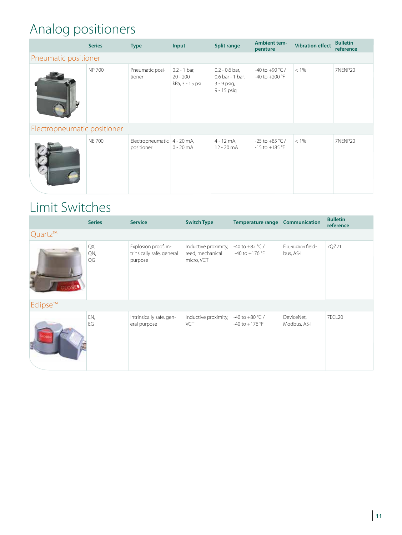## Analog positioners

|                             | <b>Series</b> | <b>Type</b>                                 | Input                                           | <b>Split range</b>                                                 | <b>Ambient tem-</b><br>perature          | <b>Vibration effect</b> | <b>Bulletin</b><br>reference |  |  |  |
|-----------------------------|---------------|---------------------------------------------|-------------------------------------------------|--------------------------------------------------------------------|------------------------------------------|-------------------------|------------------------------|--|--|--|
| Pneumatic positioner        |               |                                             |                                                 |                                                                    |                                          |                         |                              |  |  |  |
|                             | <b>NP 700</b> | Pneumatic posi-<br>tioner                   | $0.2 - 1$ bar,<br>$20 - 200$<br>kPa, 3 - 15 psi | $0.2 - 0.6$ bar,<br>0.6 bar - 1 bar,<br>3 - 9 psig,<br>9 - 15 psig | -40 to +90 $°C/$<br>$-40$ to $+200$ °F   | $< 1\%$                 | 7NENP20                      |  |  |  |
| Electropneumatic positioner |               |                                             |                                                 |                                                                    |                                          |                         |                              |  |  |  |
|                             | <b>NE 700</b> | Electropneumatic   4 - 20 mA,<br>positioner | $0 - 20$ mA                                     | 4 - 12 mA,<br>$12 - 20$ mA                                         | $-25$ to $+85$ °C/<br>$-15$ to $+185$ °F | $< 1\%$                 | 7NENP20                      |  |  |  |

### Limit Switches

|                      | <b>Series</b>    | <b>Service</b>                                               | <b>Switch Type</b>                                     | <b>Temperature range Communication</b>       |                                | <b>Bulletin</b><br>reference |
|----------------------|------------------|--------------------------------------------------------------|--------------------------------------------------------|----------------------------------------------|--------------------------------|------------------------------|
| Quartz <sup>TM</sup> |                  |                                                              |                                                        |                                              |                                |                              |
|                      | QX,<br>QN,<br>QG | Explosion proof, in-<br>trinsically safe, general<br>purpose | Inductive proximity,<br>reed, mechanical<br>micro, VCT | -40 to +82 $°C/$<br>$-40$ to $+176$ °F       | FOUNDATION field-<br>bus, AS-I | 7QZ21                        |
| Eclipse™             |                  |                                                              |                                                        |                                              |                                |                              |
|                      | EN,<br>EG        | Intrinsically safe, gen-<br>eral purpose                     | Inductive proximity,<br>VCT                            | -40 to +80 $°C/$<br>-40 to +176 $^{\circ}$ F | DeviceNet,<br>Modbus, AS-I     | 7ECL20                       |